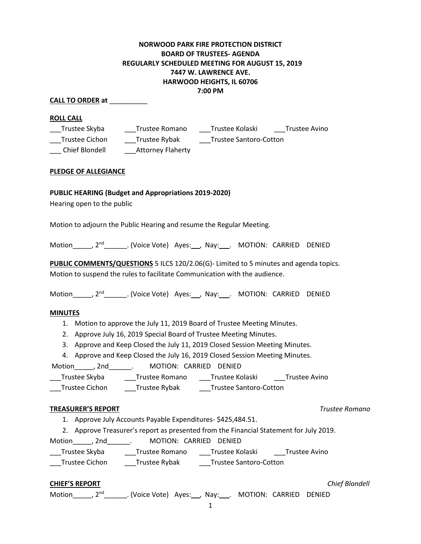## **NORWOOD PARK FIRE PROTECTION DISTRICT BOARD OF TRUSTEES- AGENDA REGULARLY SCHEDULED MEETING FOR AUGUST 15, 2019 7447 W. LAWRENCE AVE. HARWOOD HEIGHTS, IL 60706 7:00 PM**

#### **CALL TO ORDER at** \_\_\_\_\_\_\_\_\_\_

#### **ROLL CALL**

| Trustee Skyba  | Trustee Romano           | Trustee Kolaski        | Trustee Avino |
|----------------|--------------------------|------------------------|---------------|
| Trustee Cichon | Trustee Rybak            | Trustee Santoro-Cotton |               |
| Chief Blondell | <b>Attorney Flaherty</b> |                        |               |

#### **PLEDGE OF ALLEGIANCE**

## **PUBLIC HEARING (Budget and Appropriations 2019-2020)**

Hearing open to the public

Motion to adjourn the Public Hearing and resume the Regular Meeting.

Motion\_\_\_\_\_, 2<sup>nd</sup>\_\_\_\_\_\_\_. (Voice Vote) Ayes:\_\_\_, Nay:\_\_\_. MOTION: CARRIED DENIED

**PUBLIC COMMENTS/QUESTIONS** 5 ILCS 120/2.06(G)- Limited to 5 minutes and agenda topics. Motion to suspend the rules to facilitate Communication with the audience.

Motion , 2<sup>nd</sup> \_\_\_\_. (Voice Vote) Ayes: \_\_\_, Nay: \_\_\_. MOTION: CARRIED DENIED

#### **MINUTES**

1. Motion to approve the July 11, 2019 Board of Trustee Meeting Minutes.

- 2. Approve July 16, 2019 Special Board of Trustee Meeting Minutes.
- 3. Approve and Keep Closed the July 11, 2019 Closed Session Meeting Minutes.

4. Approve and Keep Closed the July 16, 2019 Closed Session Meeting Minutes.

Motion\_\_\_\_\_, 2nd\_\_\_\_\_\_. MOTION: CARRIED DENIED

\_\_Trustee Skyba \_\_\_\_\_\_\_\_Trustee Romano \_\_\_\_\_\_\_\_Trustee Kolaski \_\_\_\_\_\_\_\_Trustee Avino \_\_\_Trustee Cichon \_\_\_Trustee Rybak \_\_\_Trustee Santoro-Cotton

## **TREASURER'S REPORT** *Trustee Romano*

1. Approve July Accounts Payable Expenditures- \$425,484.51.

2. Approve Treasurer's report as presented from the Financial Statement for July 2019.

Motion\_\_\_\_\_, 2nd\_\_\_\_\_\_. MOTION: CARRIED DENIED

\_\_Trustee Skyba \_\_\_\_\_\_\_Trustee Romano \_\_\_\_\_\_Trustee Kolaski \_\_\_\_\_\_\_Trustee Avino \_\_\_Trustee Cichon \_\_\_Trustee Rybak \_\_\_Trustee Santoro-Cotton

#### **CHIEF'S REPORT** *Chief Blondell*

Motion\_\_\_\_\_, 2<sup>nd</sup>\_\_\_\_\_\_\_\_. (Voice Vote) Ayes:\_\_\_, Nay:\_\_\_\_. MOTION: CARRIED DENIED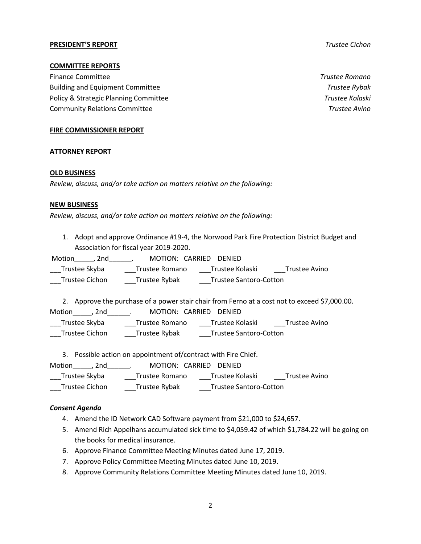#### **PRESIDENT'S REPORT** *Trustee Cichon*

#### **COMMITTEE REPORTS**

Finance Committee *Trustee Romano* Building and Equipment Committee *Trustee Rybak*  Policy & Strategic Planning Committee *Trustee Kolaski*  Community Relations Committee *Trustee Avino* 

#### **FIRE COMMISSIONER REPORT**

#### **ATTORNEY REPORT**

#### **OLD BUSINESS**

*Review, discuss, and/or take action on matters relative on the following:* 

#### **NEW BUSINESS**

*Review, discuss, and/or take action on matters relative on the following:* 

1. Adopt and approve Ordinance #19-4, the Norwood Park Fire Protection District Budget and Association for fiscal year 2019-2020.

Motion diameter of the MOTION: CARRIED DENIED

| Trustee Skyba  | Trustee Romano | Trustee Kolaski<br>Trustee Avino |  |
|----------------|----------------|----------------------------------|--|
| Trustee Cichon | Trustee Rybak  | Trustee Santoro-Cotton           |  |

2. Approve the purchase of a power stair chair from Ferno at a cost not to exceed \$7,000.00.

Motion\_\_\_\_\_, 2nd\_\_\_\_\_\_. MOTION: CARRIED DENIED

\_\_Trustee Skyba \_\_\_\_\_\_Trustee Romano \_\_\_\_\_Trustee Kolaski \_\_\_\_\_\_Trustee Avino

\_\_\_Trustee Cichon \_\_\_Trustee Rybak \_\_\_Trustee Santoro-Cotton

3. Possible action on appointment of/contract with Fire Chief.

Motion , 2nd . MOTION: CARRIED DENIED

| Trustee Skyba  | Trustee Romano | Trustee Kolaski               | Trustee Avino |
|----------------|----------------|-------------------------------|---------------|
| Trustee Cichon | Trustee Rybak  | <b>Trustee Santoro-Cotton</b> |               |

#### *Consent Agenda*

- 4. Amend the ID Network CAD Software payment from \$21,000 to \$24,657.
- 5. Amend Rich Appelhans accumulated sick time to \$4,059.42 of which \$1,784.22 will be going on the books for medical insurance.
- 6. Approve Finance Committee Meeting Minutes dated June 17, 2019.
- 7. Approve Policy Committee Meeting Minutes dated June 10, 2019.
- 8. Approve Community Relations Committee Meeting Minutes dated June 10, 2019.